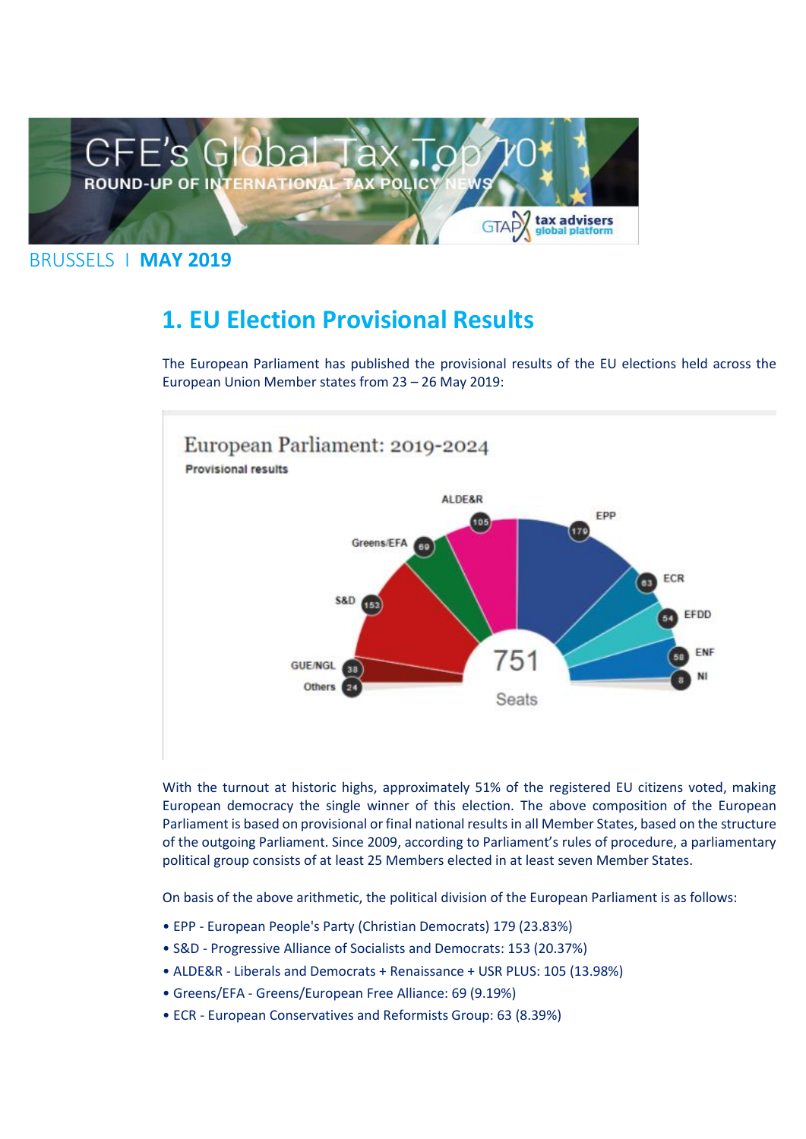

#### BRUSSELS I **MAY 2019**

## **1. EU Election Provisional Results**

The European Parliament has published the provisional results of the EU elections held across the European Union Member states from 23 – 26 May 2019:



With the turnout at historic highs, approximately 51% of the registered EU citizens voted, making European democracy the single winner of this election. The above composition of the European Parliament is based on provisional or final national results in all Member States, based on the structure of the outgoing Parliament. Since 2009, according to Parliament's rules of procedure, a parliamentary political group consists of at least 25 Members elected in at least seven Member States.

On basis of the above arithmetic, the political division of the European Parliament is as follows:

- EPP European People's Party (Christian Democrats) 179 (23.83%)
- S&D Progressive Alliance of Socialists and Democrats: 153 (20.37%)
- ALDE&R Liberals and Democrats + Renaissance + USR PLUS: 105 (13.98%)
- Greens/EFA Greens/European Free Alliance: 69 (9.19%)
- ECR European Conservatives and Reformists Group: 63 (8.39%)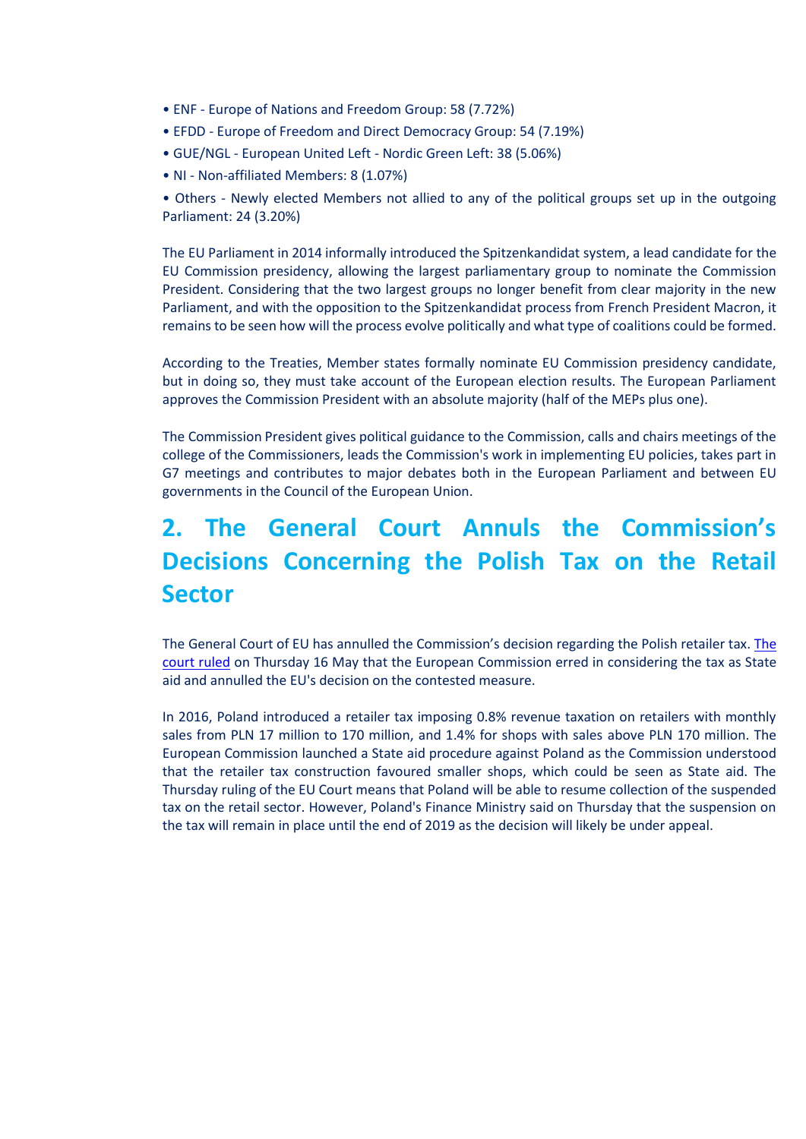- ENF Europe of Nations and Freedom Group: 58 (7.72%)
- EFDD Europe of Freedom and Direct Democracy Group: 54 (7.19%)
- GUE/NGL European United Left Nordic Green Left: 38 (5.06%)
- NI Non-affiliated Members: 8 (1.07%)

• Others - Newly elected Members not allied to any of the political groups set up in the outgoing Parliament: 24 (3.20%)

The EU Parliament in 2014 informally introduced the Spitzenkandidat system, a lead candidate for the EU Commission presidency, allowing the largest parliamentary group to nominate the Commission President. Considering that the two largest groups no longer benefit from clear majority in the new Parliament, and with the opposition to the Spitzenkandidat process from French President Macron, it remains to be seen how will the process evolve politically and what type of coalitions could be formed.

According to the Treaties, Member states formally nominate EU Commission presidency candidate, but in doing so, they must take account of the European election results. The European Parliament approves the Commission President with an absolute majority (half of the MEPs plus one).

The Commission President gives political guidance to the Commission, calls and chairs meetings of the college of the Commissioners, leads the Commission's work in implementing EU policies, takes part in G7 meetings and contributes to major debates both in the European Parliament and between EU governments in the Council of the European Union.

# **2. The General Court Annuls the Commission's Decisions Concerning the Polish Tax on the Retail Sector**

The General Court of EU has annulled the Commission's decision regarding the Polish retailer tax. [The](https://taxadviserseurope.us16.list-manage.com/track/click?u=0823f78338ab363b7e312367d&id=39514776de&e=d675bf34cb)  [court ruled](https://taxadviserseurope.us16.list-manage.com/track/click?u=0823f78338ab363b7e312367d&id=39514776de&e=d675bf34cb) on Thursday 16 May that the European Commission erred in considering the tax as State aid and annulled the EU's decision on the contested measure.

In 2016, Poland introduced a retailer tax imposing 0.8% revenue taxation on retailers with monthly sales from PLN 17 million to 170 million, and 1.4% for shops with sales above PLN 170 million. The European Commission launched a State aid procedure against Poland as the Commission understood that the retailer tax construction favoured smaller shops, which could be seen as State aid. The Thursday ruling of the EU Court means that Poland will be able to resume collection of the suspended tax on the retail sector. However, Poland's Finance Ministry said on Thursday that the suspension on the tax will remain in place until the end of 2019 as the decision will likely be under appeal.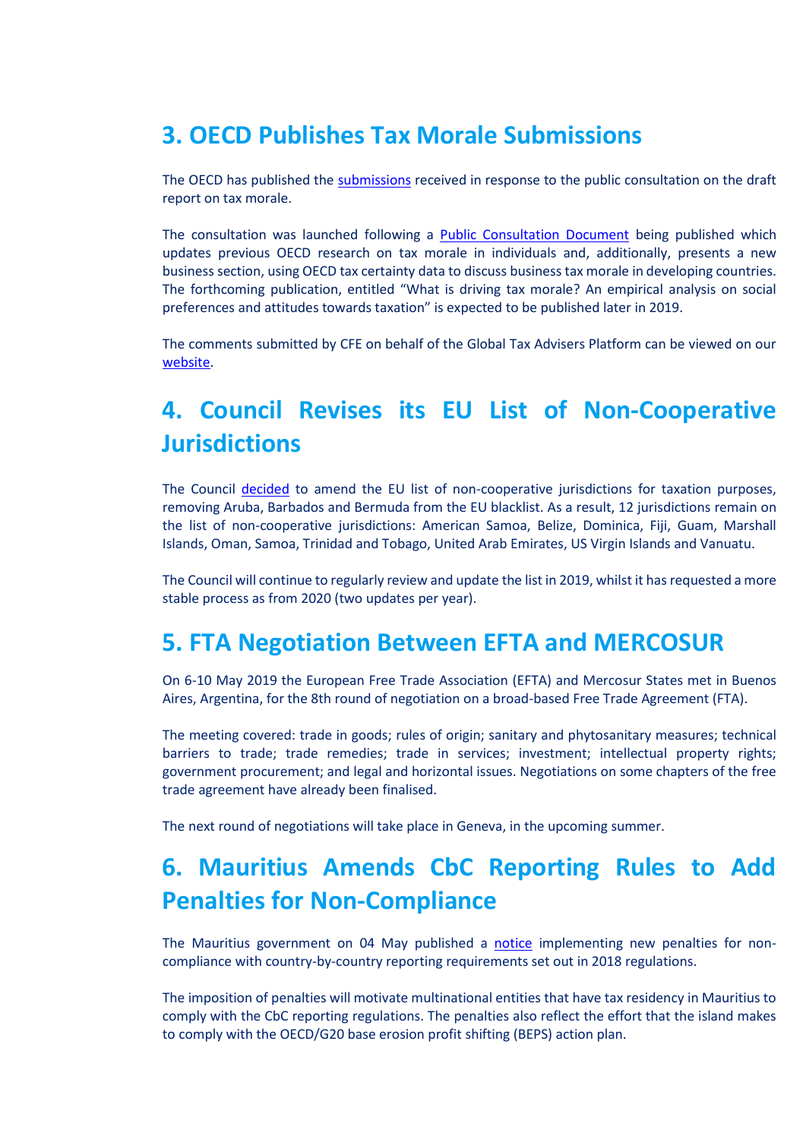## **3. OECD Publishes Tax Morale Submissions**

The OECD has published the [submissions](https://taxadviserseurope.us16.list-manage.com/track/click?u=0823f78338ab363b7e312367d&id=3dc7628f0f&e=d675bf34cb) received in response to the public consultation on the draft report on tax morale.

The consultation was launched following a **Public Consultation Document** being published which updates previous OECD research on tax morale in individuals and, additionally, presents a new business section, using OECD tax certainty data to discuss business tax morale in developing countries. The forthcoming publication, entitled "What is driving tax morale? An empirical analysis on social preferences and attitudes towards taxation" is expected to be published later in 2019.

The comments submitted by CFE on behalf of the Global Tax Advisers Platform can be viewed on our [website.](https://taxadviserseurope.us16.list-manage.com/track/click?u=0823f78338ab363b7e312367d&id=8d35195c2d&e=d675bf34cb)

# **4. Council Revises its EU List of Non-Cooperative Jurisdictions**

The Council [decided](https://taxadviserseurope.us16.list-manage.com/track/click?u=0823f78338ab363b7e312367d&id=453e77043e&e=d675bf34cb) to amend the EU list of non-cooperative jurisdictions for taxation purposes, removing Aruba, Barbados and Bermuda from the EU blacklist. As a result, 12 jurisdictions remain on the list of non-cooperative jurisdictions: American Samoa, Belize, Dominica, Fiji, Guam, Marshall Islands, Oman, Samoa, Trinidad and Tobago, United Arab Emirates, US Virgin Islands and Vanuatu.

The Council will continue to regularly review and update the list in 2019, whilst it has requested a more stable process as from 2020 (two updates per year).

#### **5. FTA Negotiation Between EFTA and MERCOSUR**

On 6-10 May 2019 the European Free Trade Association (EFTA) and Mercosur States met in Buenos Aires, Argentina, for the 8th round of negotiation on a broad-based Free Trade Agreement (FTA).

The meeting covered: trade in goods; rules of origin; sanitary and phytosanitary measures; technical barriers to trade; trade remedies; trade in services; investment; intellectual property rights; government procurement; and legal and horizontal issues. Negotiations on some chapters of the free trade agreement have already been finalised.

The next round of negotiations will take place in Geneva, in the upcoming summer.

## **6. Mauritius Amends CbC Reporting Rules to Add Penalties for Non-Compliance**

The Mauritius government on 04 May published a [notice](https://taxadviserseurope.us16.list-manage.com/track/click?u=0823f78338ab363b7e312367d&id=3d7319870a&e=d675bf34cb) implementing new penalties for noncompliance with country-by-country reporting requirements set out in 2018 regulations.

The imposition of penalties will motivate multinational entities that have tax residency in Mauritius to comply with the CbC reporting regulations. The penalties also reflect the effort that the island makes to comply with the OECD/G20 base erosion profit shifting (BEPS) action plan.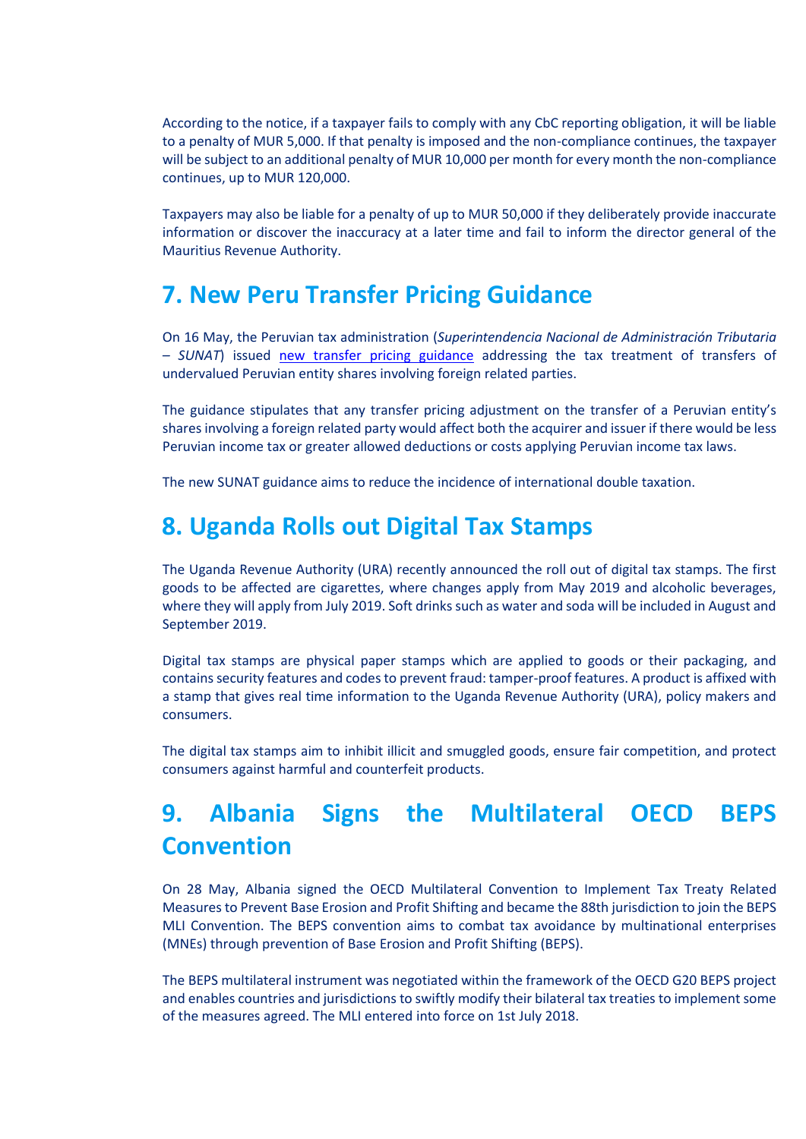According to the notice, if a taxpayer fails to comply with any CbC reporting obligation, it will be liable to a penalty of MUR 5,000. If that penalty is imposed and the non-compliance continues, the taxpayer will be subject to an additional penalty of MUR 10,000 per month for every month the non-compliance continues, up to MUR 120,000.

Taxpayers may also be liable for a penalty of up to MUR 50,000 if they deliberately provide inaccurate information or discover the inaccuracy at a later time and fail to inform the director general of the Mauritius Revenue Authority.

### **7. New Peru Transfer Pricing Guidance**

On 16 May, the Peruvian tax administration (*Superintendencia Nacional de Administración Tributaria – SUNAT*) issued [new transfer pricing guidance](https://taxadviserseurope.us16.list-manage.com/track/click?u=0823f78338ab363b7e312367d&id=4ea98f18fa&e=d675bf34cb) addressing the tax treatment of transfers of undervalued Peruvian entity shares involving foreign related parties.

The guidance stipulates that any transfer pricing adjustment on the transfer of a Peruvian entity's shares involving a foreign related party would affect both the acquirer and issuer if there would be less Peruvian income tax or greater allowed deductions or costs applying Peruvian income tax laws.

The new SUNAT guidance aims to reduce the incidence of international double taxation.

### **8. Uganda Rolls out Digital Tax Stamps**

The Uganda Revenue Authority (URA) recently announced the roll out of digital tax stamps. The first goods to be affected are cigarettes, where changes apply from May 2019 and alcoholic beverages, where they will apply from July 2019. Soft drinks such as water and soda will be included in August and September 2019.

Digital tax stamps are physical paper stamps which are applied to goods or their packaging, and contains security features and codes to prevent fraud: tamper-proof features. A product is affixed with a stamp that gives real time information to the Uganda Revenue Authority (URA), policy makers and consumers.

The digital tax stamps aim to inhibit illicit and smuggled goods, ensure fair competition, and protect consumers against harmful and counterfeit products.

# **9. Albania Signs the Multilateral OECD BEPS Convention**

On 28 May, Albania signed the OECD Multilateral Convention to Implement Tax Treaty Related Measures to Prevent Base Erosion and Profit Shifting and became the 88th jurisdiction to join the BEPS MLI Convention. The BEPS convention aims to combat tax avoidance by multinational enterprises (MNEs) through prevention of Base Erosion and Profit Shifting (BEPS).

The BEPS multilateral instrument was negotiated within the framework of the OECD G20 BEPS project and enables countries and jurisdictions to swiftly modify their bilateral tax treaties to implement some of the measures agreed. The MLI entered into force on 1st July 2018.